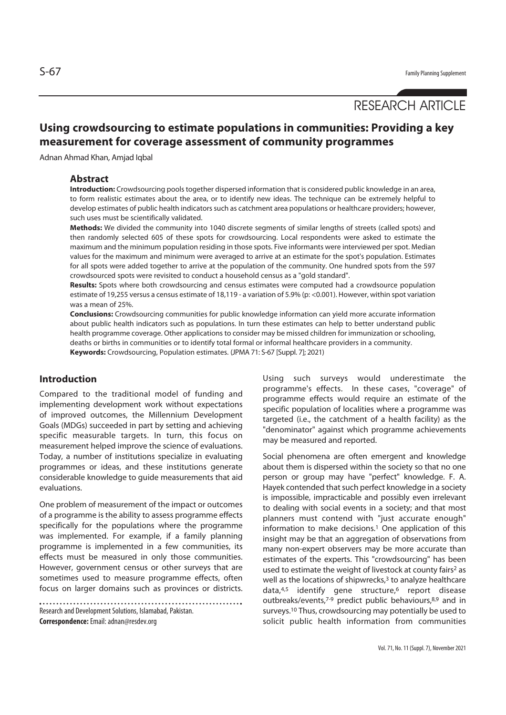# RESEARCH ARTICLE

## **Using crowdsourcing to estimate populations in communities: Providing a key measurement for coverage assessment of community programmes**

Adnan Ahmad Khan, Amjad Iqbal

#### **Abstract**

**Introduction:** Crowdsourcing pools together dispersed information that is considered public knowledge in an area, to form realistic estimates about the area, or to identify new ideas. The technique can be extremely helpful to develop estimates of public health indicators such as catchment area populations or healthcare providers; however, such uses must be scientifically validated.

**Methods:** We divided the community into 1040 discrete segments of similar lengths of streets (called spots) and then randomly selected 605 of these spots for crowdsourcing. Local respondents were asked to estimate the maximum and the minimum population residing in those spots. Five informants were interviewed per spot. Median values for the maximum and minimum were averaged to arrive at an estimate for the spot's population. Estimates for all spots were added together to arrive at the population of the community. One hundred spots from the 597 crowdsourced spots were revisited to conduct a household census as a "gold standard".

**Results:** Spots where both crowdsourcing and census estimates were computed had a crowdsource population estimate of 19,255 versus a census estimate of 18,119 - a variation of 5.9% (p: <0.001). However, within spot variation was a mean of 25%.

**Conclusions:** Crowdsourcing communities for public knowledge information can yield more accurate information about public health indicators such as populations. In turn these estimates can help to better understand public health programme coverage. Other applications to consider may be missed children for immunization or schooling, deaths or births in communities or to identify total formal or informal healthcare providers in a community. **Keywords:** Crowdsourcing, Population estimates. (JPMA 71: S-67 [Suppl. 7]; 2021)

#### **Introduction**

Compared to the traditional model of funding and implementing development work without expectations of improved outcomes, the Millennium Development Goals (MDGs) succeeded in part by setting and achieving specific measurable targets. In turn, this focus on measurement helped improve the science of evaluations. Today, a number of institutions specialize in evaluating programmes or ideas, and these institutions generate considerable knowledge to guide measurements that aid evaluations.

One problem of measurement of the impact or outcomes of a programme is the ability to assess programme effects specifically for the populations where the programme was implemented. For example, if a family planning programme is implemented in a few communities, its effects must be measured in only those communities. However, government census or other surveys that are sometimes used to measure programme effects, often focus on larger domains such as provinces or districts.

. . . . . . . . . . . . . Research and Development Solutions, Islamabad, Pakistan. **Correspondence:** Email: adnan@resdev.org

Using such surveys would underestimate the programme's effects. In these cases, "coverage" of programme effects would require an estimate of the specific population of localities where a programme was targeted (i.e., the catchment of a health facility) as the "denominator" against which programme achievements may be measured and reported.

Social phenomena are often emergent and knowledge about them is dispersed within the society so that no one person or group may have "perfect" knowledge. F. A. Hayek contended that such perfect knowledge in a society is impossible, impracticable and possibly even irrelevant to dealing with social events in a society; and that most planners must contend with "just accurate enough" information to make decisions.<sup>1</sup> One application of this insight may be that an aggregation of observations from many non-expert observers may be more accurate than estimates of the experts. This "crowdsourcing" has been used to estimate the weight of livestock at county fairs<sup>2</sup> as well as the locations of shipwrecks, $3$  to analyze healthcare  $data<sub>1</sub>4,5$  identify gene structure,<sup>6</sup> report disease outbreaks/events,<sup>7-9</sup> predict public behaviours,<sup>8,9</sup> and in surveys.10 Thus, crowdsourcing may potentially be used to solicit public health information from communities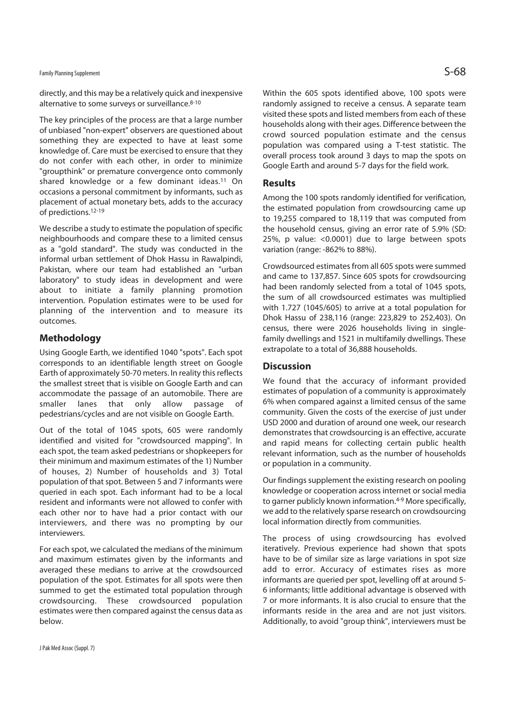## Family Planning Supplement  $\mathsf{S}\text{-68}$

directly, and this may be a relatively quick and inexpensive alternative to some surveys or surveillance.8-10

The key principles of the process are that a large number of unbiased "non-expert" observers are questioned about something they are expected to have at least some knowledge of. Care must be exercised to ensure that they do not confer with each other, in order to minimize "groupthink" or premature convergence onto commonly shared knowledge or a few dominant ideas.11 On occasions a personal commitment by informants, such as placement of actual monetary bets, adds to the accuracy of predictions.12-19

We describe a study to estimate the population of specific neighbourhoods and compare these to a limited census as a "gold standard". The study was conducted in the informal urban settlement of Dhok Hassu in Rawalpindi, Pakistan, where our team had established an "urban laboratory" to study ideas in development and were about to initiate a family planning promotion intervention. Population estimates were to be used for planning of the intervention and to measure its outcomes.

### **Methodology**

Using Google Earth, we identified 1040 "spots". Each spot corresponds to an identifiable length street on Google Earth of approximately 50-70 meters. In reality this reflects the smallest street that is visible on Google Earth and can accommodate the passage of an automobile. There are smaller lanes that only allow passage of pedestrians/cycles and are not visible on Google Earth.

Out of the total of 1045 spots, 605 were randomly identified and visited for "crowdsourced mapping". In each spot, the team asked pedestrians or shopkeepers for their minimum and maximum estimates of the 1) Number of houses, 2) Number of households and 3) Total population of that spot. Between 5 and 7 informants were queried in each spot. Each informant had to be a local resident and informants were not allowed to confer with each other nor to have had a prior contact with our interviewers, and there was no prompting by our interviewers.

For each spot, we calculated the medians of the minimum and maximum estimates given by the informants and averaged these medians to arrive at the crowdsourced population of the spot. Estimates for all spots were then summed to get the estimated total population through crowdsourcing. These crowdsourced population estimates were then compared against the census data as below.

Within the 605 spots identified above, 100 spots were randomly assigned to receive a census. A separate team visited these spots and listed members from each of these households along with their ages. Difference between the crowd sourced population estimate and the census population was compared using a T-test statistic. The overall process took around 3 days to map the spots on Google Earth and around 5-7 days for the field work.

#### **Results**

Among the 100 spots randomly identified for verification, the estimated population from crowdsourcing came up to 19,255 compared to 18,119 that was computed from the household census, giving an error rate of 5.9% (SD: 25%, p value: <0.0001) due to large between spots variation (range: -862% to 88%).

Crowdsourced estimates from all 605 spots were summed and came to 137,857. Since 605 spots for crowdsourcing had been randomly selected from a total of 1045 spots, the sum of all crowdsourced estimates was multiplied with 1.727 (1045/605) to arrive at a total population for Dhok Hassu of 238,116 (range: 223,829 to 252,403). On census, there were 2026 households living in singlefamily dwellings and 1521 in multifamily dwellings. These extrapolate to a total of 36,888 households.

### **Discussion**

We found that the accuracy of informant provided estimates of population of a community is approximately 6% when compared against a limited census of the same community. Given the costs of the exercise of just under USD 2000 and duration of around one week, our research demonstrates that crowdsourcing is an effective, accurate and rapid means for collecting certain public health relevant information, such as the number of households or population in a community.

Our findings supplement the existing research on pooling knowledge or cooperation across internet or social media to garner publicly known information.4-9 More specifically, we add to the relatively sparse research on crowdsourcing local information directly from communities.

The process of using crowdsourcing has evolved iteratively. Previous experience had shown that spots have to be of similar size as large variations in spot size add to error. Accuracy of estimates rises as more informants are queried per spot, levelling off at around 5- 6 informants; little additional advantage is observed with 7 or more informants. It is also crucial to ensure that the informants reside in the area and are not just visitors. Additionally, to avoid "group think", interviewers must be